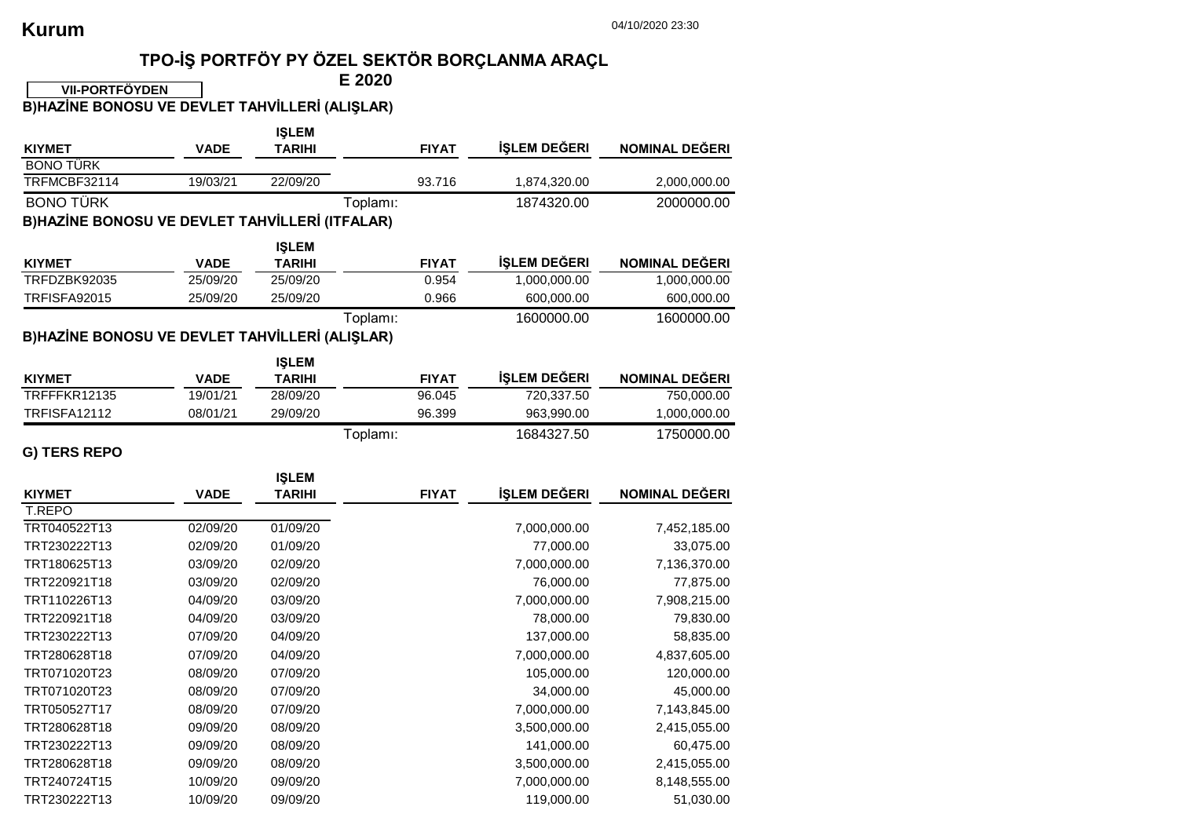## **TPO-İŞ PORTFÖY PY ÖZEL SEKTÖR BORÇLANMA ARAÇL**

**E 2020 VII-PORTFÖYDEN** 

**B)HAZİNE BONOSU VE DEVLET TAHVİLLERİ (ALIŞLAR)**

|                                                |             | <b>IŞLEM</b>  |              |              |                       |  |  |  |  |
|------------------------------------------------|-------------|---------------|--------------|--------------|-----------------------|--|--|--|--|
| <b>KIYMET</b>                                  | <b>VADE</b> | <b>TARIHI</b> | <b>FIYAT</b> | İŞLEM DEĞERI | <b>NOMINAL DEĞERI</b> |  |  |  |  |
| <b>BONO TÜRK</b>                               |             |               |              |              |                       |  |  |  |  |
| TRFMCBF32114                                   | 19/03/21    | 22/09/20      | 93.716       | 1,874,320.00 | 2,000,000.00          |  |  |  |  |
| <b>BONO TÜRK</b>                               |             |               | Toplamı:     | 1874320.00   | 2000000.00            |  |  |  |  |
| B)HAZİNE BONOSU VE DEVLET TAHVİLLERİ (ITFALAR) |             |               |              |              |                       |  |  |  |  |
|                                                |             | <b>IŞLEM</b>  |              |              |                       |  |  |  |  |
| <b>KIYMET</b>                                  | <b>VADE</b> | <b>TARIHI</b> | <b>FIYAT</b> | İŞLEM DEĞERI | <b>NOMINAL DEĞERI</b> |  |  |  |  |
| TRFDZBK92035                                   | 25/09/20    | 25/09/20      | 0.954        | 1,000,000.00 | 1,000,000.00          |  |  |  |  |
| <b>TRFISFA92015</b>                            | 25/09/20    | 25/09/20      | 0.966        | 600,000.00   | 600,000.00            |  |  |  |  |
|                                                |             |               | Toplamı:     | 1600000.00   | 1600000.00            |  |  |  |  |
| B)HAZİNE BONOSU VE DEVLET TAHVİLLERİ (ALIŞLAR) |             |               |              |              |                       |  |  |  |  |
|                                                |             | <b>IŞLEM</b>  |              |              |                       |  |  |  |  |
| <b>KIYMET</b>                                  | <b>VADE</b> | <b>TARIHI</b> | <b>FIYAT</b> | İŞLEM DEĞERI | <b>NOMINAL DEĞERI</b> |  |  |  |  |
| TRFFFKR12135                                   | 19/01/21    | 28/09/20      | 96.045       | 720,337.50   | 750,000.00            |  |  |  |  |
| TRFISFA12112                                   | 08/01/21    | 29/09/20      | 96.399       | 963,990.00   | 1,000,000.00          |  |  |  |  |
|                                                |             |               | Toplamı:     | 1684327.50   | 1750000.00            |  |  |  |  |
| G) TERS REPO                                   |             |               |              |              |                       |  |  |  |  |
|                                                |             |               |              |              |                       |  |  |  |  |
|                                                |             |               |              |              |                       |  |  |  |  |
|                                                |             | <b>IŞLEM</b>  |              |              |                       |  |  |  |  |
| <b>KIYMET</b><br>T.REPO                        | <b>VADE</b> | <b>TARIHI</b> | <b>FIYAT</b> | İŞLEM DEĞERI | NOMINAL DEĞERI        |  |  |  |  |
| TRT040522T13                                   | 02/09/20    | 01/09/20      |              | 7,000,000.00 | 7,452,185.00          |  |  |  |  |
| TRT230222T13                                   | 02/09/20    | 01/09/20      |              | 77,000.00    | 33,075.00             |  |  |  |  |
| TRT180625T13                                   | 03/09/20    | 02/09/20      |              | 7,000,000.00 | 7,136,370.00          |  |  |  |  |
| TRT220921T18                                   | 03/09/20    | 02/09/20      |              | 76,000.00    | 77,875.00             |  |  |  |  |
| TRT110226T13                                   | 04/09/20    | 03/09/20      |              | 7,000,000.00 | 7,908,215.00          |  |  |  |  |
| TRT220921T18                                   | 04/09/20    | 03/09/20      |              | 78,000.00    | 79,830.00             |  |  |  |  |
| TRT230222T13                                   | 07/09/20    | 04/09/20      |              | 137,000.00   | 58,835.00             |  |  |  |  |
| TRT280628T18                                   | 07/09/20    | 04/09/20      |              | 7,000,000.00 | 4,837,605.00          |  |  |  |  |
| TRT071020T23                                   | 08/09/20    | 07/09/20      |              | 105,000.00   | 120,000.00            |  |  |  |  |
| TRT071020T23                                   | 08/09/20    | 07/09/20      |              | 34,000.00    | 45,000.00             |  |  |  |  |
| TRT050527T17                                   | 08/09/20    | 07/09/20      |              | 7,000,000.00 | 7,143,845.00          |  |  |  |  |
| TRT280628T18                                   | 09/09/20    | 08/09/20      |              | 3,500,000.00 | 2,415,055.00          |  |  |  |  |
| TRT230222T13                                   | 09/09/20    | 08/09/20      |              | 141,000.00   | 60,475.00             |  |  |  |  |
| TRT280628T18                                   | 09/09/20    | 08/09/20      |              | 3,500,000.00 | 2,415,055.00          |  |  |  |  |
| TRT240724T15                                   | 10/09/20    | 09/09/20      |              | 7,000,000.00 | 8,148,555.00          |  |  |  |  |